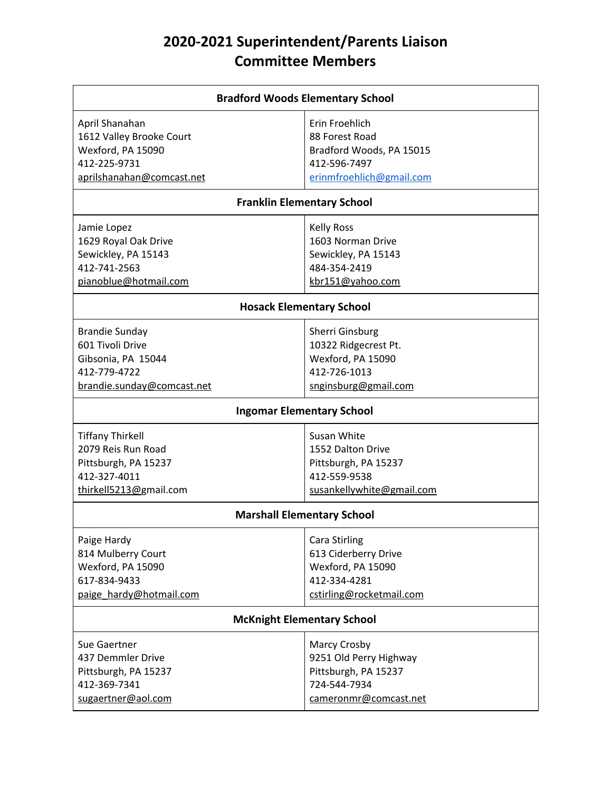# **2020-2021 Superintendent/Parents Liaison Committee Members**

| <b>Bradford Woods Elementary School</b> |                                  |  |
|-----------------------------------------|----------------------------------|--|
| April Shanahan                          | Erin Froehlich                   |  |
| 1612 Valley Brooke Court                | 88 Forest Road                   |  |
| Wexford, PA 15090                       | Bradford Woods, PA 15015         |  |
| 412-225-9731                            | 412-596-7497                     |  |
| aprilshanahan@comcast.net               | erinmfroehlich@gmail.com         |  |
| <b>Franklin Elementary School</b>       |                                  |  |
| Jamie Lopez                             | <b>Kelly Ross</b>                |  |
| 1629 Royal Oak Drive                    | 1603 Norman Drive                |  |
| Sewickley, PA 15143                     | Sewickley, PA 15143              |  |
| 412-741-2563                            | 484-354-2419                     |  |
| pianoblue@hotmail.com                   | kbr151@yahoo.com                 |  |
|                                         | <b>Hosack Elementary School</b>  |  |
| <b>Brandie Sunday</b>                   | <b>Sherri Ginsburg</b>           |  |
| 601 Tivoli Drive                        | 10322 Ridgecrest Pt.             |  |
| Gibsonia, PA 15044                      | Wexford, PA 15090                |  |
| 412-779-4722                            | 412-726-1013                     |  |
| brandie.sunday@comcast.net              | snginsburg@gmail.com             |  |
|                                         | <b>Ingomar Elementary School</b> |  |
| <b>Tiffany Thirkell</b>                 | Susan White                      |  |
| 2079 Reis Run Road                      | 1552 Dalton Drive                |  |
| Pittsburgh, PA 15237                    | Pittsburgh, PA 15237             |  |
| 412-327-4011                            | 412-559-9538                     |  |
| thirkell5213@gmail.com                  | susankellywhite@gmail.com        |  |
| <b>Marshall Elementary School</b>       |                                  |  |
| Paige Hardy                             | Cara Stirling                    |  |
| 814 Mulberry Court                      | 613 Ciderberry Drive             |  |
| Wexford, PA 15090                       | Wexford, PA 15090                |  |
| 617-834-9433                            | 412-334-4281                     |  |
| paige hardy@hotmail.com                 | cstirling@rocketmail.com         |  |
| <b>McKnight Elementary School</b>       |                                  |  |
| Sue Gaertner                            | Marcy Crosby                     |  |
| 437 Demmler Drive                       | 9251 Old Perry Highway           |  |
| Pittsburgh, PA 15237                    | Pittsburgh, PA 15237             |  |
| 412-369-7341                            | 724-544-7934                     |  |
| sugaertner@aol.com                      | cameronmr@comcast.net            |  |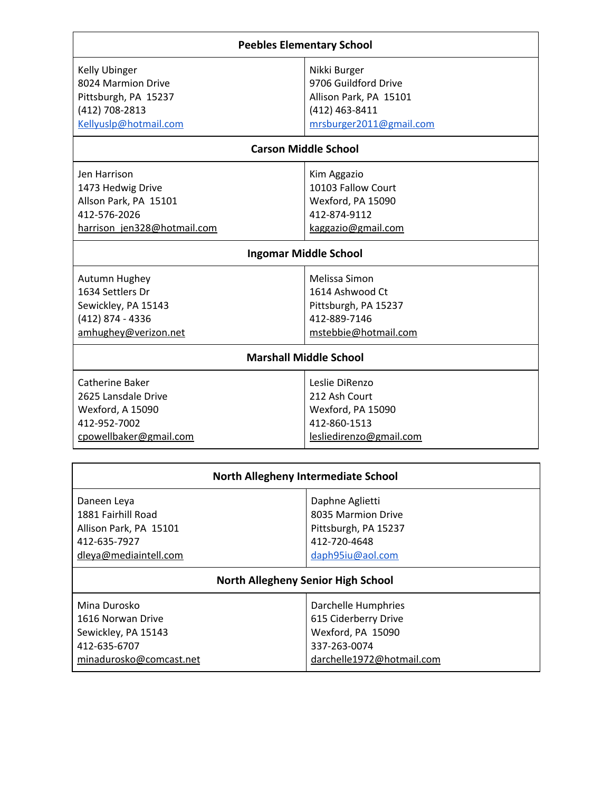|  | <b>Peebles Elementary School</b> |  |
|--|----------------------------------|--|
|--|----------------------------------|--|

| <b>Kelly Ubinger</b>  |  |
|-----------------------|--|
| 8024 Marmion Drive    |  |
| Pittsburgh, PA 15237  |  |
| (412) 708-2813        |  |
| Kellyuslp@hotmail.com |  |

### Nikki Burger 9706 Guildford Drive Allison Park, PA 15101 (412) 463-8411 [mrsburger2011@gmail.com](mailto:mrsburger2011@gmail.com)

## **Carson Middle School**

| Jen Harrison                | Kim Aggazio        |
|-----------------------------|--------------------|
| 1473 Hedwig Drive           | 10103 Fallow Court |
| Allson Park, PA 15101       | Wexford, PA 15090  |
| 412-576-2026                | 412-874-9112       |
| harrison jen328@hotmail.com | kaggazio@gmail.com |

## **Ingomar Middle School**

| Autumn Hughey        | Melissa Simon        |
|----------------------|----------------------|
| 1634 Settlers Dr     | 1614 Ashwood Ct      |
| Sewickley, PA 15143  | Pittsburgh, PA 15237 |
| (412) 874 - 4336     | 412-889-7146         |
| amhughey@verizon.net | mstebbie@hotmail.com |

#### **Marshall Middle School**

| Catherine Baker        | Leslie DiRenzo          |
|------------------------|-------------------------|
| 2625 Lansdale Drive    | 212 Ash Court           |
| Wexford, A 15090       | Wexford, PA 15090       |
| 412-952-7002           | 412-860-1513            |
| cpowellbaker@gmail.com | lesliedirenzo@gmail.com |
|                        |                         |

| <b>North Allegheny Intermediate School</b>                                                           |                                                                                                   |  |
|------------------------------------------------------------------------------------------------------|---------------------------------------------------------------------------------------------------|--|
| Daneen Leya<br>1881 Fairhill Road<br>Allison Park, PA 15101<br>412-635-7927<br>dleya@mediaintell.com | Daphne Aglietti<br>8035 Marmion Drive<br>Pittsburgh, PA 15237<br>412-720-4648<br>daph95iu@aol.com |  |
| <b>North Allegheny Senior High School</b>                                                            |                                                                                                   |  |
| Mina Durosko<br>1616 Norwan Drive<br>Sewickley, PA 15143<br>412-635-6707                             | Darchelle Humphries<br>615 Ciderberry Drive<br>Wexford, PA 15090<br>337-263-0074                  |  |
| minadurosko@comcast.net                                                                              | darchelle1972@hotmail.com                                                                         |  |